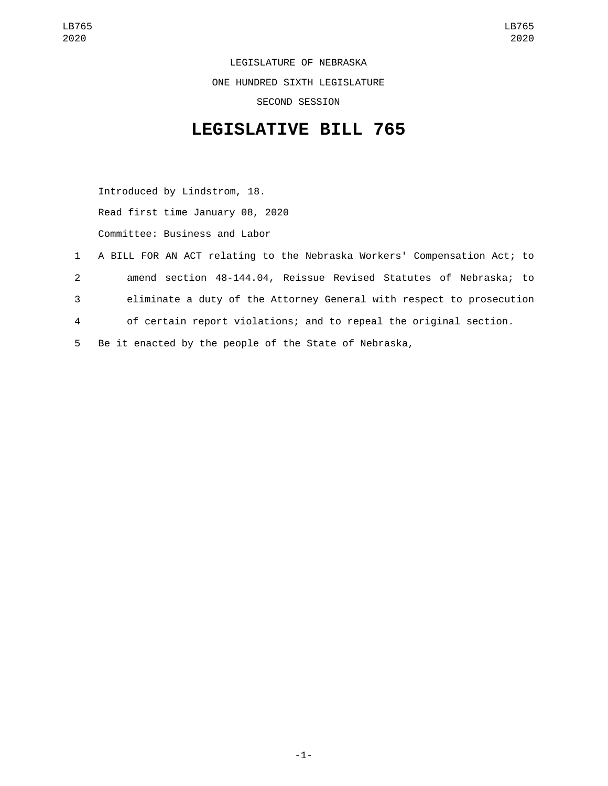LEGISLATURE OF NEBRASKA ONE HUNDRED SIXTH LEGISLATURE SECOND SESSION

## **LEGISLATIVE BILL 765**

Introduced by Lindstrom, 18. Read first time January 08, 2020 Committee: Business and Labor

 A BILL FOR AN ACT relating to the Nebraska Workers' Compensation Act; to amend section 48-144.04, Reissue Revised Statutes of Nebraska; to eliminate a duty of the Attorney General with respect to prosecution of certain report violations; and to repeal the original section. Be it enacted by the people of the State of Nebraska,